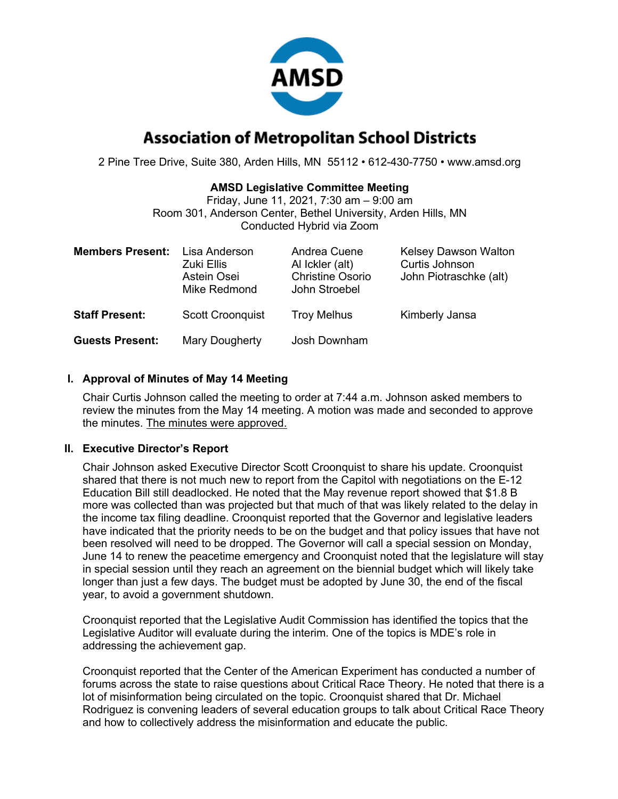

# **Association of Metropolitan School Districts**

2 Pine Tree Drive, Suite 380, Arden Hills, MN 55112 • 612-430-7750 • www.amsd.org

#### **AMSD Legislative Committee Meeting**

Friday, June 11, 2021, 7:30 am – 9:00 am Room 301, Anderson Center, Bethel University, Arden Hills, MN Conducted Hybrid via Zoom

| <b>Members Present:</b> | Lisa Anderson<br>Zuki Ellis<br>Astein Osei<br>Mike Redmond | Andrea Cuene<br>Al Ickler (alt)<br><b>Christine Osorio</b><br>John Stroebel | <b>Kelsey Dawson Walton</b><br>Curtis Johnson<br>John Piotraschke (alt) |
|-------------------------|------------------------------------------------------------|-----------------------------------------------------------------------------|-------------------------------------------------------------------------|
| <b>Staff Present:</b>   | <b>Scott Croonquist</b>                                    | <b>Troy Melhus</b>                                                          | Kimberly Jansa                                                          |
| <b>Guests Present:</b>  | Mary Dougherty                                             | Josh Downham                                                                |                                                                         |

### **I. Approval of Minutes of May 14 Meeting**

Chair Curtis Johnson called the meeting to order at 7:44 a.m. Johnson asked members to review the minutes from the May 14 meeting. A motion was made and seconded to approve the minutes. The minutes were approved.

### **II. Executive Director's Report**

Chair Johnson asked Executive Director Scott Croonquist to share his update. Croonquist shared that there is not much new to report from the Capitol with negotiations on the E-12 Education Bill still deadlocked. He noted that the May revenue report showed that \$1.8 B more was collected than was projected but that much of that was likely related to the delay in the income tax filing deadline. Croonquist reported that the Governor and legislative leaders have indicated that the priority needs to be on the budget and that policy issues that have not been resolved will need to be dropped. The Governor will call a special session on Monday, June 14 to renew the peacetime emergency and Croonquist noted that the legislature will stay in special session until they reach an agreement on the biennial budget which will likely take longer than just a few days. The budget must be adopted by June 30, the end of the fiscal year, to avoid a government shutdown.

Croonquist reported that the Legislative Audit Commission has identified the topics that the Legislative Auditor will evaluate during the interim. One of the topics is MDE's role in addressing the achievement gap.

Croonquist reported that the Center of the American Experiment has conducted a number of forums across the state to raise questions about Critical Race Theory. He noted that there is a lot of misinformation being circulated on the topic. Croonquist shared that Dr. Michael Rodriguez is convening leaders of several education groups to talk about Critical Race Theory and how to collectively address the misinformation and educate the public.